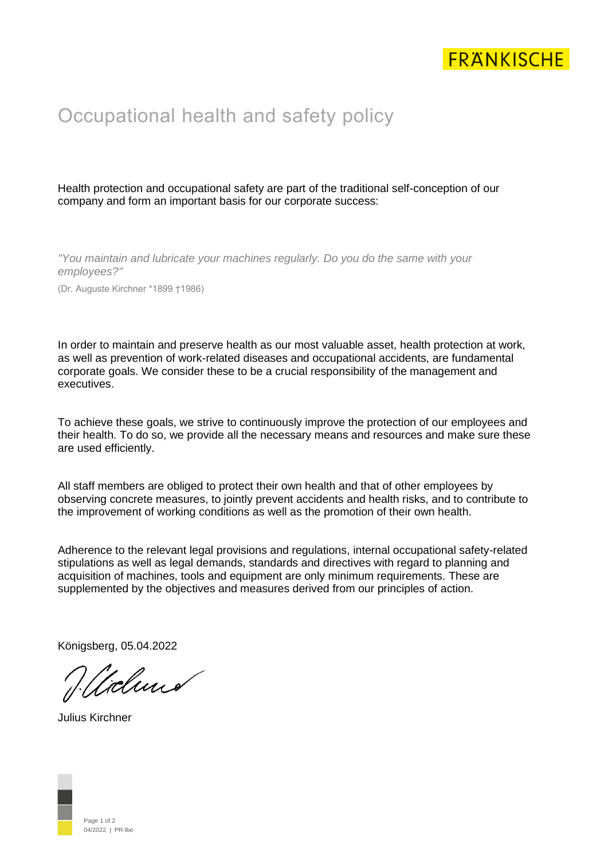

## Occupational health and safety policy

Health protection and occupational safety are part of the traditional self-conception of our company and form an important basis for our corporate success:

*"You maintain and lubricate your machines regularly. Do you do the same with your employees?"*

(Dr. Auguste Kirchner \*1899 †1986)

In order to maintain and preserve health as our most valuable asset, health protection at work, as well as prevention of work-related diseases and occupational accidents, are fundamental corporate goals. We consider these to be a crucial responsibility of the management and executives.

To achieve these goals, we strive to continuously improve the protection of our employees and their health. To do so, we provide all the necessary means and resources and make sure these are used efficiently.

All staff members are obliged to protect their own health and that of other employees by observing concrete measures, to jointly prevent accidents and health risks, and to contribute to the improvement of working conditions as well as the promotion of their own health.

Adherence to the relevant legal provisions and regulations, internal occupational safety-related stipulations as well as legal demands, standards and directives with regard to planning and acquisition of machines, tools and equipment are only minimum requirements. These are supplemented by the objectives and measures derived from our principles of action.

Königsberg, 05.04.2022

"clund

Julius Kirchner